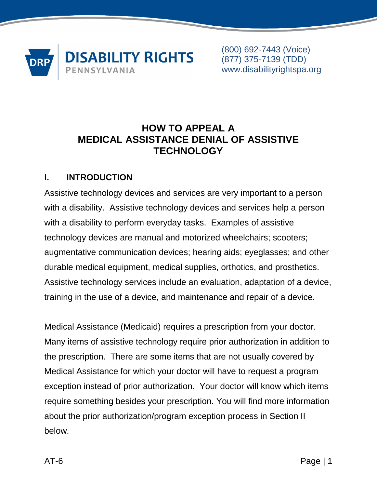

# **HOW TO APPEAL A MEDICAL ASSISTANCE DENIAL OF ASSISTIVE TECHNOLOGY**

## **I. INTRODUCTION**

Assistive technology devices and services are very important to a person with a disability. Assistive technology devices and services help a person with a disability to perform everyday tasks. Examples of assistive technology devices are manual and motorized wheelchairs; scooters; augmentative communication devices; hearing aids; eyeglasses; and other durable medical equipment, medical supplies, orthotics, and prosthetics. Assistive technology services include an evaluation, adaptation of a device, training in the use of a device, and maintenance and repair of a device.

Medical Assistance (Medicaid) requires a prescription from your doctor. Many items of assistive technology require prior authorization in addition to the prescription. There are some items that are not usually covered by Medical Assistance for which your doctor will have to request a program exception instead of prior authorization. Your doctor will know which items require something besides your prescription. You will find more information about the prior authorization/program exception process in Section II below.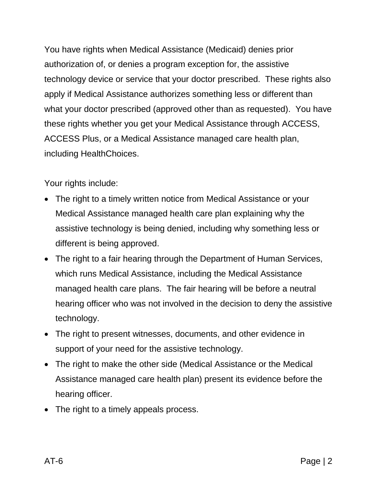You have rights when Medical Assistance (Medicaid) denies prior authorization of, or denies a program exception for, the assistive technology device or service that your doctor prescribed. These rights also apply if Medical Assistance authorizes something less or different than what your doctor prescribed (approved other than as requested). You have these rights whether you get your Medical Assistance through ACCESS, ACCESS Plus, or a Medical Assistance managed care health plan, including HealthChoices.

Your rights include:

- The right to a timely written notice from Medical Assistance or your Medical Assistance managed health care plan explaining why the assistive technology is being denied, including why something less or different is being approved.
- The right to a fair hearing through the Department of Human Services, which runs Medical Assistance, including the Medical Assistance managed health care plans. The fair hearing will be before a neutral hearing officer who was not involved in the decision to deny the assistive technology.
- The right to present witnesses, documents, and other evidence in support of your need for the assistive technology.
- The right to make the other side (Medical Assistance or the Medical Assistance managed care health plan) present its evidence before the hearing officer.
- The right to a timely appeals process.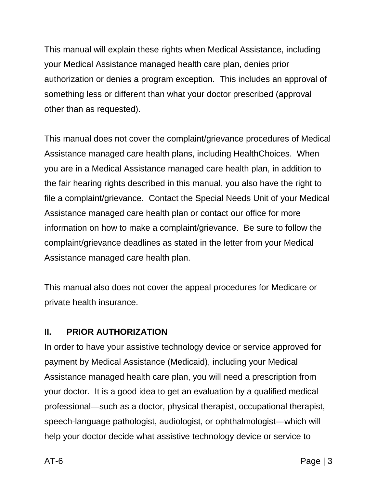This manual will explain these rights when Medical Assistance, including your Medical Assistance managed health care plan, denies prior authorization or denies a program exception. This includes an approval of something less or different than what your doctor prescribed (approval other than as requested).

This manual does not cover the complaint/grievance procedures of Medical Assistance managed care health plans, including HealthChoices. When you are in a Medical Assistance managed care health plan, in addition to the fair hearing rights described in this manual, you also have the right to file a complaint/grievance. Contact the Special Needs Unit of your Medical Assistance managed care health plan or contact our office for more information on how to make a complaint/grievance. Be sure to follow the complaint/grievance deadlines as stated in the letter from your Medical Assistance managed care health plan.

This manual also does not cover the appeal procedures for Medicare or private health insurance.

### **II. PRIOR AUTHORIZATION**

In order to have your assistive technology device or service approved for payment by Medical Assistance (Medicaid), including your Medical Assistance managed health care plan, you will need a prescription from your doctor. It is a good idea to get an evaluation by a qualified medical professional—such as a doctor, physical therapist, occupational therapist, speech-language pathologist, audiologist, or ophthalmologist—which will help your doctor decide what assistive technology device or service to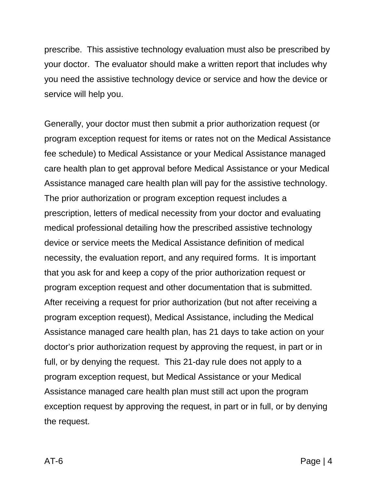prescribe. This assistive technology evaluation must also be prescribed by your doctor. The evaluator should make a written report that includes why you need the assistive technology device or service and how the device or service will help you.

Generally, your doctor must then submit a prior authorization request (or program exception request for items or rates not on the Medical Assistance fee schedule) to Medical Assistance or your Medical Assistance managed care health plan to get approval before Medical Assistance or your Medical Assistance managed care health plan will pay for the assistive technology. The prior authorization or program exception request includes a prescription, letters of medical necessity from your doctor and evaluating medical professional detailing how the prescribed assistive technology device or service meets the Medical Assistance definition of medical necessity, the evaluation report, and any required forms. It is important that you ask for and keep a copy of the prior authorization request or program exception request and other documentation that is submitted. After receiving a request for prior authorization (but not after receiving a program exception request), Medical Assistance, including the Medical Assistance managed care health plan, has 21 days to take action on your doctor's prior authorization request by approving the request, in part or in full, or by denying the request. This 21-day rule does not apply to a program exception request, but Medical Assistance or your Medical Assistance managed care health plan must still act upon the program exception request by approving the request, in part or in full, or by denying the request.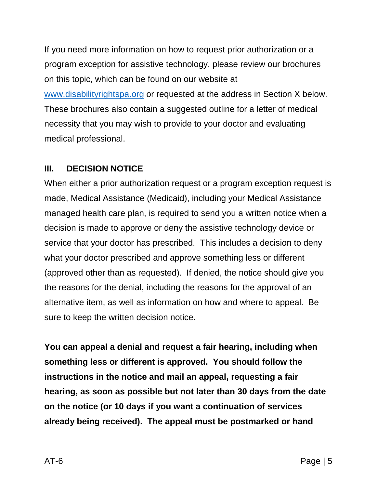If you need more information on how to request prior authorization or a program exception for assistive technology, please review our brochures on this topic, which can be found on our website at [www.disabilityrightspa.org](http://www.disabilityrightspa.org/) or requested at the address in Section X below. These brochures also contain a suggested outline for a letter of medical necessity that you may wish to provide to your doctor and evaluating medical professional.

### **III. DECISION NOTICE**

When either a prior authorization request or a program exception request is made, Medical Assistance (Medicaid), including your Medical Assistance managed health care plan, is required to send you a written notice when a decision is made to approve or deny the assistive technology device or service that your doctor has prescribed. This includes a decision to deny what your doctor prescribed and approve something less or different (approved other than as requested). If denied, the notice should give you the reasons for the denial, including the reasons for the approval of an alternative item, as well as information on how and where to appeal. Be sure to keep the written decision notice.

**You can appeal a denial and request a fair hearing, including when something less or different is approved. You should follow the instructions in the notice and mail an appeal, requesting a fair hearing, as soon as possible but not later than 30 days from the date on the notice (or 10 days if you want a continuation of services already being received). The appeal must be postmarked or hand**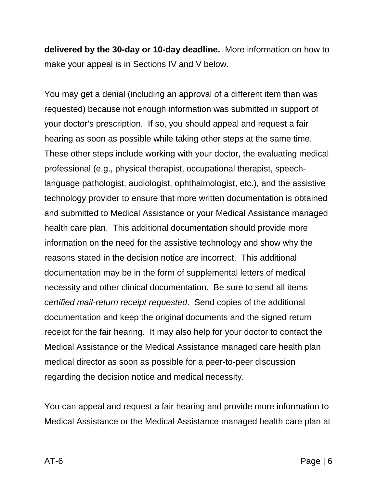**delivered by the 30-day or 10-day deadline.** More information on how to make your appeal is in Sections IV and V below.

You may get a denial (including an approval of a different item than was requested) because not enough information was submitted in support of your doctor's prescription. If so, you should appeal and request a fair hearing as soon as possible while taking other steps at the same time. These other steps include working with your doctor, the evaluating medical professional (e.g., physical therapist, occupational therapist, speechlanguage pathologist, audiologist, ophthalmologist, etc.), and the assistive technology provider to ensure that more written documentation is obtained and submitted to Medical Assistance or your Medical Assistance managed health care plan. This additional documentation should provide more information on the need for the assistive technology and show why the reasons stated in the decision notice are incorrect. This additional documentation may be in the form of supplemental letters of medical necessity and other clinical documentation. Be sure to send all items *certified mail-return receipt requested*. Send copies of the additional documentation and keep the original documents and the signed return receipt for the fair hearing. It may also help for your doctor to contact the Medical Assistance or the Medical Assistance managed care health plan medical director as soon as possible for a peer-to-peer discussion regarding the decision notice and medical necessity.

You can appeal and request a fair hearing and provide more information to Medical Assistance or the Medical Assistance managed health care plan at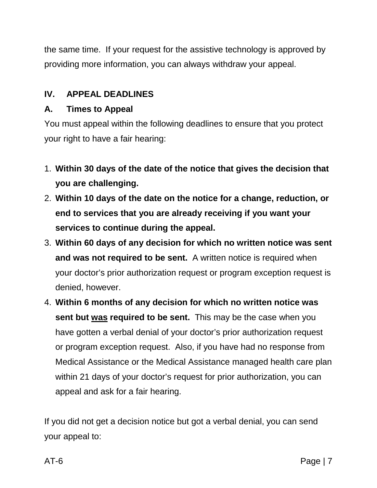the same time. If your request for the assistive technology is approved by providing more information, you can always withdraw your appeal.

## **IV. APPEAL DEADLINES**

## **A. Times to Appeal**

You must appeal within the following deadlines to ensure that you protect your right to have a fair hearing:

- 1. **Within 30 days of the date of the notice that gives the decision that you are challenging.**
- 2. **Within 10 days of the date on the notice for a change, reduction, or end to services that you are already receiving if you want your services to continue during the appeal.**
- 3. **Within 60 days of any decision for which no written notice was sent and was not required to be sent.** A written notice is required when your doctor's prior authorization request or program exception request is denied, however.
- 4. **Within 6 months of any decision for which no written notice was sent but was required to be sent.** This may be the case when you have gotten a verbal denial of your doctor's prior authorization request or program exception request. Also, if you have had no response from Medical Assistance or the Medical Assistance managed health care plan within 21 days of your doctor's request for prior authorization, you can appeal and ask for a fair hearing.

If you did not get a decision notice but got a verbal denial, you can send your appeal to: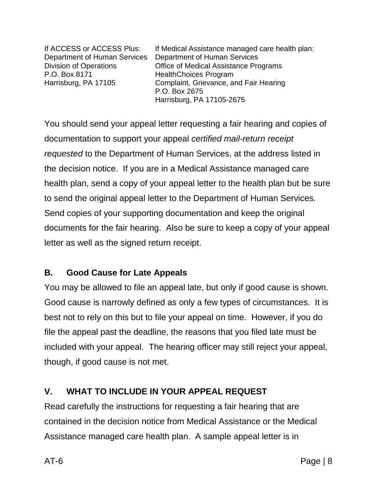P.O. Box 8171 HealthChoices Program

If ACCESS or ACCESS Plus: If Medical Assistance managed care health plan: Department of Human Services Department of Human Services Division of Operations Office of Medical Assistance Programs Harrisburg, PA 17105 Complaint, Grievance, and Fair Hearing P.O. Box 2675 Harrisburg, PA 17105-2675

You should send your appeal letter requesting a fair hearing and copies of documentation to support your appeal *certified mail-return receipt requested* to the Department of Human Services, at the address listed in the decision notice. If you are in a Medical Assistance managed care health plan, send a copy of your appeal letter to the health plan but be sure to send the original appeal letter to the Department of Human Services. Send copies of your supporting documentation and keep the original documents for the fair hearing. Also be sure to keep a copy of your appeal letter as well as the signed return receipt.

## **B. Good Cause for Late Appeals**

You may be allowed to file an appeal late, but only if good cause is shown. Good cause is narrowly defined as only a few types of circumstances. It is best not to rely on this but to file your appeal on time. However, if you do file the appeal past the deadline, the reasons that you filed late must be included with your appeal. The hearing officer may still reject your appeal, though, if good cause is not met.

# **V. WHAT TO INCLUDE IN YOUR APPEAL REQUEST**

Read carefully the instructions for requesting a fair hearing that are contained in the decision notice from Medical Assistance or the Medical Assistance managed care health plan. A sample appeal letter is in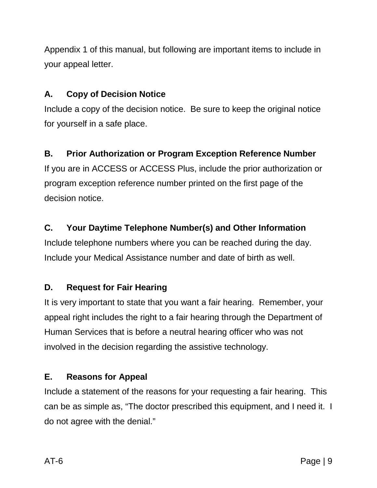Appendix 1 of this manual, but following are important items to include in your appeal letter.

# **A. Copy of Decision Notice**

Include a copy of the decision notice. Be sure to keep the original notice for yourself in a safe place.

# **B. Prior Authorization or Program Exception Reference Number**

If you are in ACCESS or ACCESS Plus, include the prior authorization or program exception reference number printed on the first page of the decision notice.

## **C. Your Daytime Telephone Number(s) and Other Information**

Include telephone numbers where you can be reached during the day. Include your Medical Assistance number and date of birth as well.

# **D. Request for Fair Hearing**

It is very important to state that you want a fair hearing. Remember, your appeal right includes the right to a fair hearing through the Department of Human Services that is before a neutral hearing officer who was not involved in the decision regarding the assistive technology.

## **E. Reasons for Appeal**

Include a statement of the reasons for your requesting a fair hearing. This can be as simple as, "The doctor prescribed this equipment, and I need it. I do not agree with the denial."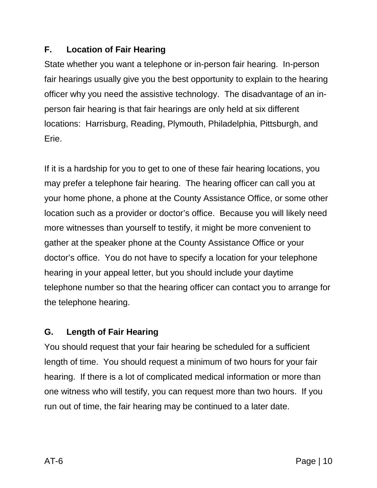## **F. Location of Fair Hearing**

State whether you want a telephone or in-person fair hearing. In-person fair hearings usually give you the best opportunity to explain to the hearing officer why you need the assistive technology. The disadvantage of an inperson fair hearing is that fair hearings are only held at six different locations: Harrisburg, Reading, Plymouth, Philadelphia, Pittsburgh, and Erie.

If it is a hardship for you to get to one of these fair hearing locations, you may prefer a telephone fair hearing. The hearing officer can call you at your home phone, a phone at the County Assistance Office, or some other location such as a provider or doctor's office. Because you will likely need more witnesses than yourself to testify, it might be more convenient to gather at the speaker phone at the County Assistance Office or your doctor's office. You do not have to specify a location for your telephone hearing in your appeal letter, but you should include your daytime telephone number so that the hearing officer can contact you to arrange for the telephone hearing.

## **G. Length of Fair Hearing**

You should request that your fair hearing be scheduled for a sufficient length of time. You should request a minimum of two hours for your fair hearing. If there is a lot of complicated medical information or more than one witness who will testify, you can request more than two hours. If you run out of time, the fair hearing may be continued to a later date.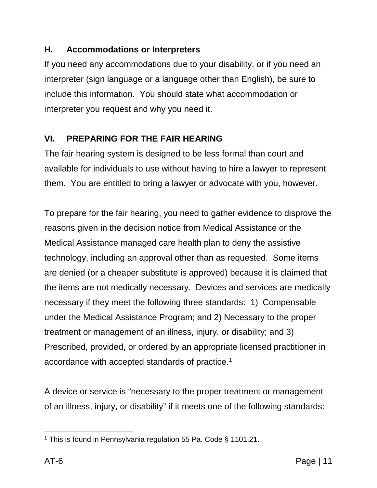## **H. Accommodations or Interpreters**

If you need any accommodations due to your disability, or if you need an interpreter (sign language or a language other than English), be sure to include this information. You should state what accommodation or interpreter you request and why you need it.

## **VI. PREPARING FOR THE FAIR HEARING**

The fair hearing system is designed to be less formal than court and available for individuals to use without having to hire a lawyer to represent them. You are entitled to bring a lawyer or advocate with you, however.

To prepare for the fair hearing, you need to gather evidence to disprove the reasons given in the decision notice from Medical Assistance or the Medical Assistance managed care health plan to deny the assistive technology, including an approval other than as requested. Some items are denied (or a cheaper substitute is approved) because it is claimed that the items are not medically necessary. Devices and services are medically necessary if they meet the following three standards: 1) Compensable under the Medical Assistance Program; and 2) Necessary to the proper treatment or management of an illness, injury, or disability; and 3) Prescribed, provided, or ordered by an appropriate licensed practitioner in accordance with accepted standards of practice.[1](#page-10-0)

A device or service is "necessary to the proper treatment or management of an illness, injury, or disability" if it meets one of the following standards:

<span id="page-10-0"></span> $\ddot{\phantom{a}}$ <sup>1</sup> This is found in Pennsylvania regulation 55 Pa. Code § 1101.21.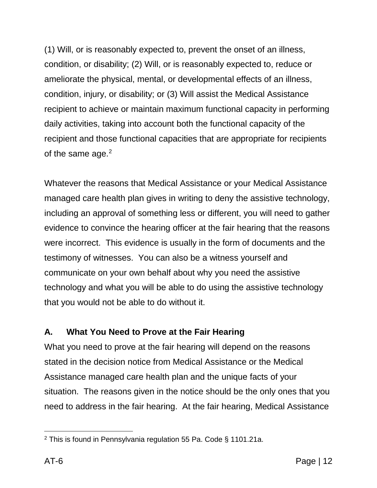(1) Will, or is reasonably expected to, prevent the onset of an illness, condition, or disability; (2) Will, or is reasonably expected to, reduce or ameliorate the physical, mental, or developmental effects of an illness, condition, injury, or disability; or (3) Will assist the Medical Assistance recipient to achieve or maintain maximum functional capacity in performing daily activities, taking into account both the functional capacity of the recipient and those functional capacities that are appropriate for recipients of the same age.<sup>[2](#page-11-0)</sup>

Whatever the reasons that Medical Assistance or your Medical Assistance managed care health plan gives in writing to deny the assistive technology, including an approval of something less or different, you will need to gather evidence to convince the hearing officer at the fair hearing that the reasons were incorrect. This evidence is usually in the form of documents and the testimony of witnesses. You can also be a witness yourself and communicate on your own behalf about why you need the assistive technology and what you will be able to do using the assistive technology that you would not be able to do without it.

# **A. What You Need to Prove at the Fair Hearing**

What you need to prove at the fair hearing will depend on the reasons stated in the decision notice from Medical Assistance or the Medical Assistance managed care health plan and the unique facts of your situation. The reasons given in the notice should be the only ones that you need to address in the fair hearing. At the fair hearing, Medical Assistance

<span id="page-11-0"></span> $\ddot{\phantom{a}}$ <sup>2</sup> This is found in Pennsylvania regulation 55 Pa. Code § 1101.21a.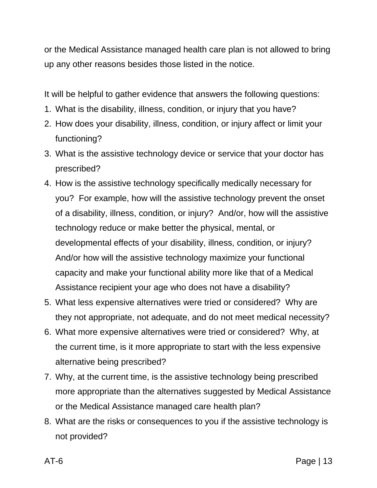or the Medical Assistance managed health care plan is not allowed to bring up any other reasons besides those listed in the notice.

It will be helpful to gather evidence that answers the following questions:

- 1. What is the disability, illness, condition, or injury that you have?
- 2. How does your disability, illness, condition, or injury affect or limit your functioning?
- 3. What is the assistive technology device or service that your doctor has prescribed?
- 4. How is the assistive technology specifically medically necessary for you? For example, how will the assistive technology prevent the onset of a disability, illness, condition, or injury? And/or, how will the assistive technology reduce or make better the physical, mental, or developmental effects of your disability, illness, condition, or injury? And/or how will the assistive technology maximize your functional capacity and make your functional ability more like that of a Medical Assistance recipient your age who does not have a disability?
- 5. What less expensive alternatives were tried or considered? Why are they not appropriate, not adequate, and do not meet medical necessity?
- 6. What more expensive alternatives were tried or considered? Why, at the current time, is it more appropriate to start with the less expensive alternative being prescribed?
- 7. Why, at the current time, is the assistive technology being prescribed more appropriate than the alternatives suggested by Medical Assistance or the Medical Assistance managed care health plan?
- 8. What are the risks or consequences to you if the assistive technology is not provided?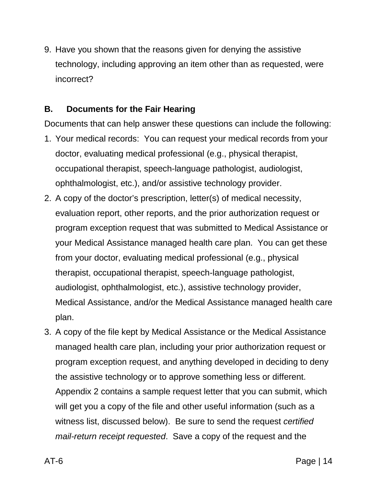9. Have you shown that the reasons given for denying the assistive technology, including approving an item other than as requested, were incorrect?

### **B. Documents for the Fair Hearing**

Documents that can help answer these questions can include the following:

- 1. Your medical records: You can request your medical records from your doctor, evaluating medical professional (e.g., physical therapist, occupational therapist, speech-language pathologist, audiologist, ophthalmologist, etc.), and/or assistive technology provider.
- 2. A copy of the doctor's prescription, letter(s) of medical necessity, evaluation report, other reports, and the prior authorization request or program exception request that was submitted to Medical Assistance or your Medical Assistance managed health care plan. You can get these from your doctor, evaluating medical professional (e.g., physical therapist, occupational therapist, speech-language pathologist, audiologist, ophthalmologist, etc.), assistive technology provider, Medical Assistance, and/or the Medical Assistance managed health care plan.
- 3. A copy of the file kept by Medical Assistance or the Medical Assistance managed health care plan, including your prior authorization request or program exception request, and anything developed in deciding to deny the assistive technology or to approve something less or different. Appendix 2 contains a sample request letter that you can submit, which will get you a copy of the file and other useful information (such as a witness list, discussed below). Be sure to send the request *certified mail-return receipt requested*. Save a copy of the request and the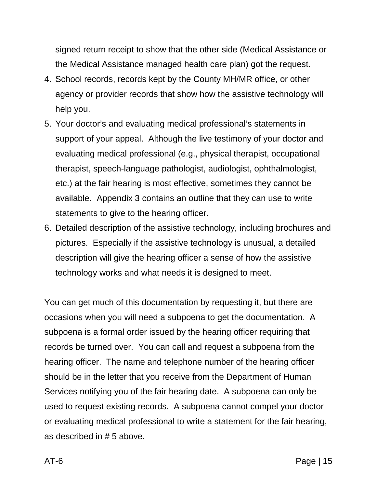signed return receipt to show that the other side (Medical Assistance or the Medical Assistance managed health care plan) got the request.

- 4. School records, records kept by the County MH/MR office, or other agency or provider records that show how the assistive technology will help you.
- 5. Your doctor's and evaluating medical professional's statements in support of your appeal. Although the live testimony of your doctor and evaluating medical professional (e.g., physical therapist, occupational therapist, speech-language pathologist, audiologist, ophthalmologist, etc.) at the fair hearing is most effective, sometimes they cannot be available. Appendix 3 contains an outline that they can use to write statements to give to the hearing officer.
- 6. Detailed description of the assistive technology, including brochures and pictures. Especially if the assistive technology is unusual, a detailed description will give the hearing officer a sense of how the assistive technology works and what needs it is designed to meet.

You can get much of this documentation by requesting it, but there are occasions when you will need a subpoena to get the documentation. A subpoena is a formal order issued by the hearing officer requiring that records be turned over. You can call and request a subpoena from the hearing officer. The name and telephone number of the hearing officer should be in the letter that you receive from the Department of Human Services notifying you of the fair hearing date. A subpoena can only be used to request existing records. A subpoena cannot compel your doctor or evaluating medical professional to write a statement for the fair hearing, as described in # 5 above.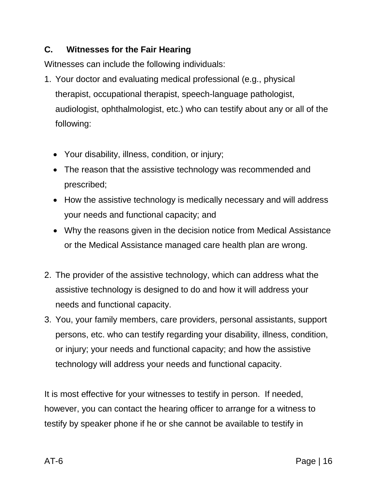## **C. Witnesses for the Fair Hearing**

Witnesses can include the following individuals:

- 1. Your doctor and evaluating medical professional (e.g., physical therapist, occupational therapist, speech-language pathologist, audiologist, ophthalmologist, etc.) who can testify about any or all of the following:
	- Your disability, illness, condition, or injury;
	- The reason that the assistive technology was recommended and prescribed;
	- How the assistive technology is medically necessary and will address your needs and functional capacity; and
	- Why the reasons given in the decision notice from Medical Assistance or the Medical Assistance managed care health plan are wrong.
- 2. The provider of the assistive technology, which can address what the assistive technology is designed to do and how it will address your needs and functional capacity.
- 3. You, your family members, care providers, personal assistants, support persons, etc. who can testify regarding your disability, illness, condition, or injury; your needs and functional capacity; and how the assistive technology will address your needs and functional capacity.

It is most effective for your witnesses to testify in person. If needed, however, you can contact the hearing officer to arrange for a witness to testify by speaker phone if he or she cannot be available to testify in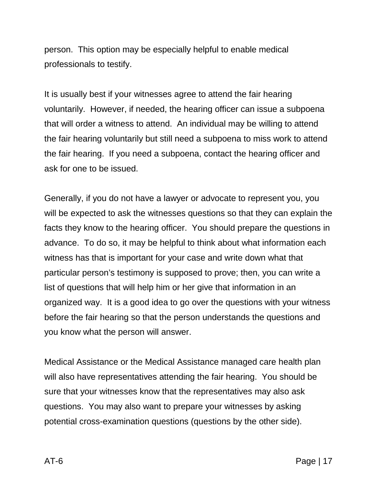person. This option may be especially helpful to enable medical professionals to testify.

It is usually best if your witnesses agree to attend the fair hearing voluntarily. However, if needed, the hearing officer can issue a subpoena that will order a witness to attend. An individual may be willing to attend the fair hearing voluntarily but still need a subpoena to miss work to attend the fair hearing. If you need a subpoena, contact the hearing officer and ask for one to be issued.

Generally, if you do not have a lawyer or advocate to represent you, you will be expected to ask the witnesses questions so that they can explain the facts they know to the hearing officer. You should prepare the questions in advance. To do so, it may be helpful to think about what information each witness has that is important for your case and write down what that particular person's testimony is supposed to prove; then, you can write a list of questions that will help him or her give that information in an organized way. It is a good idea to go over the questions with your witness before the fair hearing so that the person understands the questions and you know what the person will answer.

Medical Assistance or the Medical Assistance managed care health plan will also have representatives attending the fair hearing. You should be sure that your witnesses know that the representatives may also ask questions. You may also want to prepare your witnesses by asking potential cross-examination questions (questions by the other side).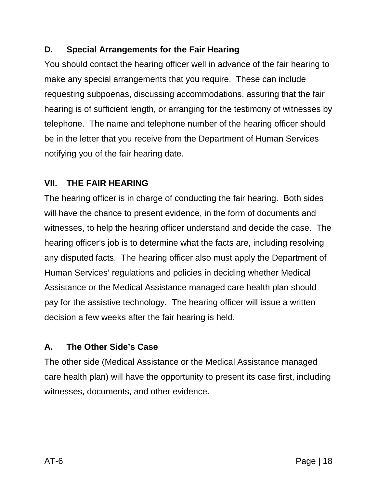## **D. Special Arrangements for the Fair Hearing**

You should contact the hearing officer well in advance of the fair hearing to make any special arrangements that you require. These can include requesting subpoenas, discussing accommodations, assuring that the fair hearing is of sufficient length, or arranging for the testimony of witnesses by telephone. The name and telephone number of the hearing officer should be in the letter that you receive from the Department of Human Services notifying you of the fair hearing date.

## **VII. THE FAIR HEARING**

The hearing officer is in charge of conducting the fair hearing. Both sides will have the chance to present evidence, in the form of documents and witnesses, to help the hearing officer understand and decide the case. The hearing officer's job is to determine what the facts are, including resolving any disputed facts. The hearing officer also must apply the Department of Human Services' regulations and policies in deciding whether Medical Assistance or the Medical Assistance managed care health plan should pay for the assistive technology. The hearing officer will issue a written decision a few weeks after the fair hearing is held.

## **A. The Other Side's Case**

The other side (Medical Assistance or the Medical Assistance managed care health plan) will have the opportunity to present its case first, including witnesses, documents, and other evidence.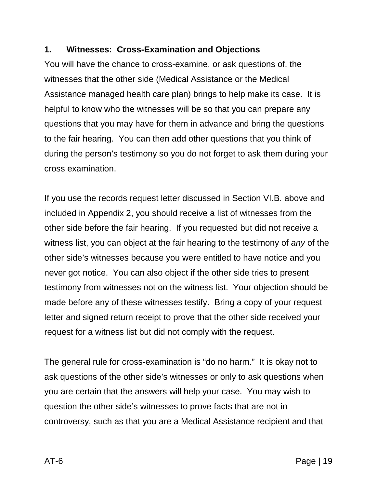### **1. Witnesses: Cross-Examination and Objections**

You will have the chance to cross-examine, or ask questions of, the witnesses that the other side (Medical Assistance or the Medical Assistance managed health care plan) brings to help make its case. It is helpful to know who the witnesses will be so that you can prepare any questions that you may have for them in advance and bring the questions to the fair hearing. You can then add other questions that you think of during the person's testimony so you do not forget to ask them during your cross examination.

If you use the records request letter discussed in Section VI.B. above and included in Appendix 2, you should receive a list of witnesses from the other side before the fair hearing. If you requested but did not receive a witness list, you can object at the fair hearing to the testimony of *any* of the other side's witnesses because you were entitled to have notice and you never got notice. You can also object if the other side tries to present testimony from witnesses not on the witness list. Your objection should be made before any of these witnesses testify. Bring a copy of your request letter and signed return receipt to prove that the other side received your request for a witness list but did not comply with the request.

The general rule for cross-examination is "do no harm." It is okay not to ask questions of the other side's witnesses or only to ask questions when you are certain that the answers will help your case. You may wish to question the other side's witnesses to prove facts that are not in controversy, such as that you are a Medical Assistance recipient and that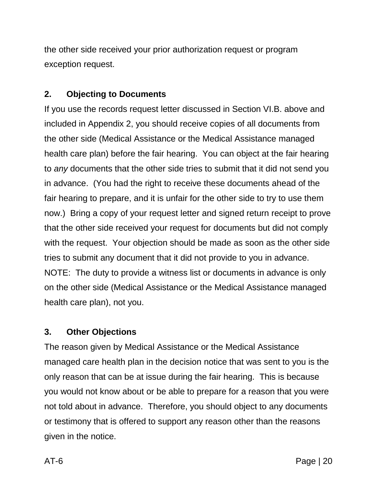the other side received your prior authorization request or program exception request.

## **2. Objecting to Documents**

If you use the records request letter discussed in Section VI.B. above and included in Appendix 2, you should receive copies of all documents from the other side (Medical Assistance or the Medical Assistance managed health care plan) before the fair hearing. You can object at the fair hearing to *any* documents that the other side tries to submit that it did not send you in advance. (You had the right to receive these documents ahead of the fair hearing to prepare, and it is unfair for the other side to try to use them now.) Bring a copy of your request letter and signed return receipt to prove that the other side received your request for documents but did not comply with the request. Your objection should be made as soon as the other side tries to submit any document that it did not provide to you in advance. NOTE:The duty to provide a witness list or documents in advance is only on the other side (Medical Assistance or the Medical Assistance managed health care plan), not you.

### **3. Other Objections**

The reason given by Medical Assistance or the Medical Assistance managed care health plan in the decision notice that was sent to you is the only reason that can be at issue during the fair hearing. This is because you would not know about or be able to prepare for a reason that you were not told about in advance. Therefore, you should object to any documents or testimony that is offered to support any reason other than the reasons given in the notice.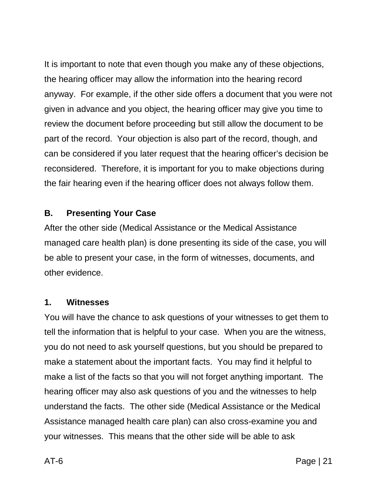It is important to note that even though you make any of these objections, the hearing officer may allow the information into the hearing record anyway. For example, if the other side offers a document that you were not given in advance and you object, the hearing officer may give you time to review the document before proceeding but still allow the document to be part of the record. Your objection is also part of the record, though, and can be considered if you later request that the hearing officer's decision be reconsidered. Therefore, it is important for you to make objections during the fair hearing even if the hearing officer does not always follow them.

### **B. Presenting Your Case**

After the other side (Medical Assistance or the Medical Assistance managed care health plan) is done presenting its side of the case, you will be able to present your case, in the form of witnesses, documents, and other evidence.

#### **1. Witnesses**

You will have the chance to ask questions of your witnesses to get them to tell the information that is helpful to your case. When you are the witness, you do not need to ask yourself questions, but you should be prepared to make a statement about the important facts. You may find it helpful to make a list of the facts so that you will not forget anything important. The hearing officer may also ask questions of you and the witnesses to help understand the facts. The other side (Medical Assistance or the Medical Assistance managed health care plan) can also cross-examine you and your witnesses. This means that the other side will be able to ask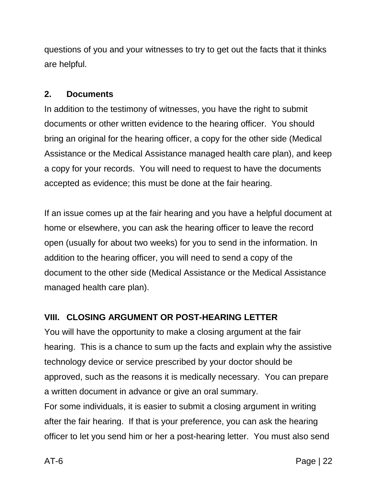questions of you and your witnesses to try to get out the facts that it thinks are helpful.

## **2. Documents**

In addition to the testimony of witnesses, you have the right to submit documents or other written evidence to the hearing officer. You should bring an original for the hearing officer, a copy for the other side (Medical Assistance or the Medical Assistance managed health care plan), and keep a copy for your records. You will need to request to have the documents accepted as evidence; this must be done at the fair hearing.

If an issue comes up at the fair hearing and you have a helpful document at home or elsewhere, you can ask the hearing officer to leave the record open (usually for about two weeks) for you to send in the information. In addition to the hearing officer, you will need to send a copy of the document to the other side (Medical Assistance or the Medical Assistance managed health care plan).

# **VIII. CLOSING ARGUMENT OR POST-HEARING LETTER**

You will have the opportunity to make a closing argument at the fair hearing. This is a chance to sum up the facts and explain why the assistive technology device or service prescribed by your doctor should be approved, such as the reasons it is medically necessary. You can prepare a written document in advance or give an oral summary. For some individuals, it is easier to submit a closing argument in writing after the fair hearing. If that is your preference, you can ask the hearing officer to let you send him or her a post-hearing letter. You must also send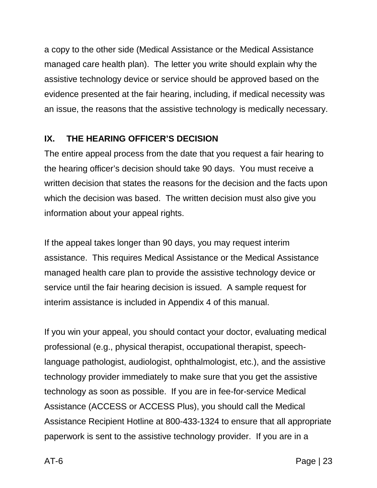a copy to the other side (Medical Assistance or the Medical Assistance managed care health plan). The letter you write should explain why the assistive technology device or service should be approved based on the evidence presented at the fair hearing, including, if medical necessity was an issue, the reasons that the assistive technology is medically necessary.

## **IX. THE HEARING OFFICER'S DECISION**

The entire appeal process from the date that you request a fair hearing to the hearing officer's decision should take 90 days. You must receive a written decision that states the reasons for the decision and the facts upon which the decision was based. The written decision must also give you information about your appeal rights.

If the appeal takes longer than 90 days, you may request interim assistance. This requires Medical Assistance or the Medical Assistance managed health care plan to provide the assistive technology device or service until the fair hearing decision is issued. A sample request for interim assistance is included in Appendix 4 of this manual.

If you win your appeal, you should contact your doctor, evaluating medical professional (e.g., physical therapist, occupational therapist, speechlanguage pathologist, audiologist, ophthalmologist, etc.), and the assistive technology provider immediately to make sure that you get the assistive technology as soon as possible. If you are in fee-for-service Medical Assistance (ACCESS or ACCESS Plus), you should call the Medical Assistance Recipient Hotline at 800-433-1324 to ensure that all appropriate paperwork is sent to the assistive technology provider. If you are in a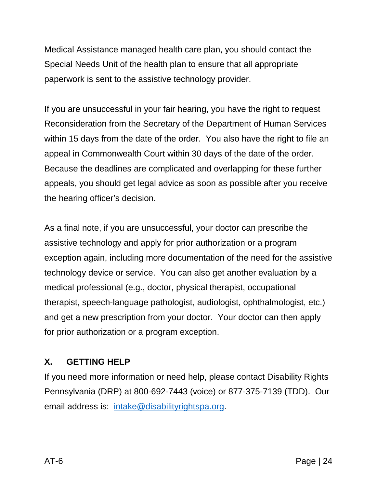Medical Assistance managed health care plan, you should contact the Special Needs Unit of the health plan to ensure that all appropriate paperwork is sent to the assistive technology provider.

If you are unsuccessful in your fair hearing, you have the right to request Reconsideration from the Secretary of the Department of Human Services within 15 days from the date of the order. You also have the right to file an appeal in Commonwealth Court within 30 days of the date of the order. Because the deadlines are complicated and overlapping for these further appeals, you should get legal advice as soon as possible after you receive the hearing officer's decision.

As a final note, if you are unsuccessful, your doctor can prescribe the assistive technology and apply for prior authorization or a program exception again, including more documentation of the need for the assistive technology device or service. You can also get another evaluation by a medical professional (e.g., doctor, physical therapist, occupational therapist, speech-language pathologist, audiologist, ophthalmologist, etc.) and get a new prescription from your doctor. Your doctor can then apply for prior authorization or a program exception.

## **X. GETTING HELP**

If you need more information or need help, please contact Disability Rights Pennsylvania (DRP) at 800-692-7443 (voice) or 877-375-7139 (TDD). Our email address is: [intake@disabilityrightspa.org.](mailto:intake@disabilityrightspa.org)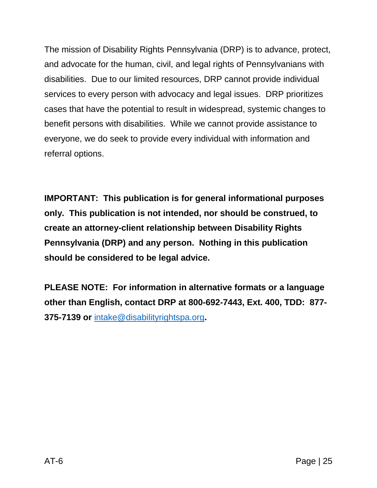The mission of Disability Rights Pennsylvania (DRP) is to advance, protect, and advocate for the human, civil, and legal rights of Pennsylvanians with disabilities. Due to our limited resources, DRP cannot provide individual services to every person with advocacy and legal issues. DRP prioritizes cases that have the potential to result in widespread, systemic changes to benefit persons with disabilities. While we cannot provide assistance to everyone, we do seek to provide every individual with information and referral options.

**IMPORTANT: This publication is for general informational purposes only. This publication is not intended, nor should be construed, to create an attorney-client relationship between Disability Rights Pennsylvania (DRP) and any person. Nothing in this publication should be considered to be legal advice.**

**PLEASE NOTE: For information in alternative formats or a language other than English, contact DRP at 800-692-7443, Ext. 400, TDD: 877- 375-7139 or** [intake@disabilityrightspa.org](mailto:intake@disabilityrightspa.org)**.**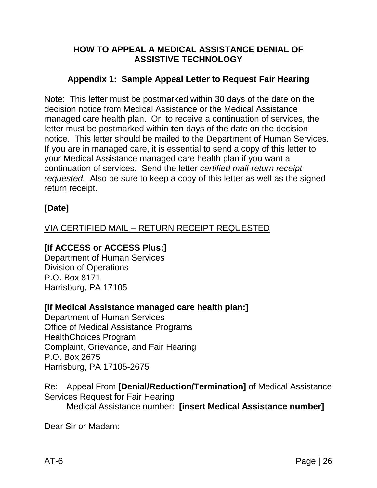### **HOW TO APPEAL A MEDICAL ASSISTANCE DENIAL OF ASSISTIVE TECHNOLOGY**

### **Appendix 1: Sample Appeal Letter to Request Fair Hearing**

Note: This letter must be postmarked within 30 days of the date on the decision notice from Medical Assistance or the Medical Assistance managed care health plan. Or, to receive a continuation of services, the letter must be postmarked within **ten** days of the date on the decision notice. This letter should be mailed to the Department of Human Services. If you are in managed care, it is essential to send a copy of this letter to your Medical Assistance managed care health plan if you want a continuation of services. Send the letter *certified mail-return receipt requested*. Also be sure to keep a copy of this letter as well as the signed return receipt.

## **[Date]**

## VIA CERTIFIED MAIL – RETURN RECEIPT REQUESTED

### **[If ACCESS or ACCESS Plus:]**

Department of Human Services Division of Operations P.O. Box 8171 Harrisburg, PA 17105

### **[If Medical Assistance managed care health plan:]**

Department of Human Services Office of Medical Assistance Programs HealthChoices Program Complaint, Grievance, and Fair Hearing P.O. Box 2675 Harrisburg, PA 17105-2675

Re: Appeal From **[Denial/Reduction/Termination]** of Medical Assistance Services Request for Fair Hearing

Medical Assistance number: **[insert Medical Assistance number]**

Dear Sir or Madam: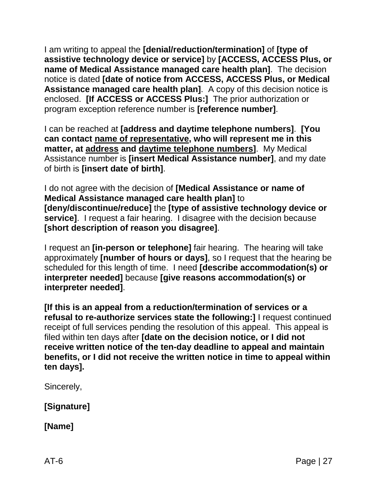I am writing to appeal the **[denial/reduction/termination]** of **[type of assistive technology device or service]** by **[ACCESS, ACCESS Plus, or name of Medical Assistance managed care health plan]**. The decision notice is dated **[date of notice from ACCESS, ACCESS Plus, or Medical Assistance managed care health plan]**. A copy of this decision notice is enclosed. **[If ACCESS or ACCESS Plus:]** The prior authorization or program exception reference number is **[reference number]**.

I can be reached at **[address and daytime telephone numbers]**. **[You can contact name of representative, who will represent me in this matter, at address and daytime telephone numbers]**. My Medical Assistance number is **[insert Medical Assistance number]**, and my date of birth is **[insert date of birth]**.

I do not agree with the decision of **[Medical Assistance or name of Medical Assistance managed care health plan]** to **[deny/discontinue/reduce]** the **[type of assistive technology device or service]**. I request a fair hearing. I disagree with the decision because **[short description of reason you disagree]**.

I request an **[in-person or telephone]** fair hearing. The hearing will take approximately **[number of hours or days]**, so I request that the hearing be scheduled for this length of time. I need **[describe accommodation(s) or interpreter needed]** because **[give reasons accommodation(s) or interpreter needed]**.

**[If this is an appeal from a reduction/termination of services or a refusal to re-authorize services state the following:]** I request continued receipt of full services pending the resolution of this appeal. This appeal is filed within ten days after **[date on the decision notice, or I did not receive written notice of the ten-day deadline to appeal and maintain benefits, or I did not receive the written notice in time to appeal within ten days].**

Sincerely,

**[Signature]**

**[Name]**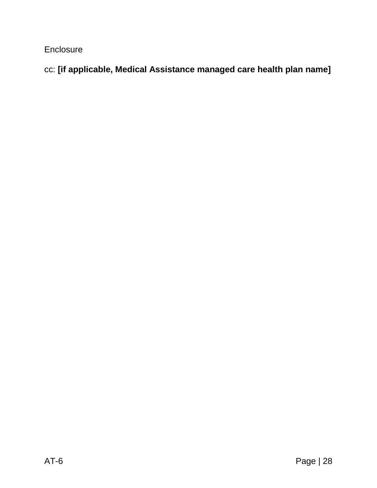**Enclosure** 

cc: **[if applicable, Medical Assistance managed care health plan name]**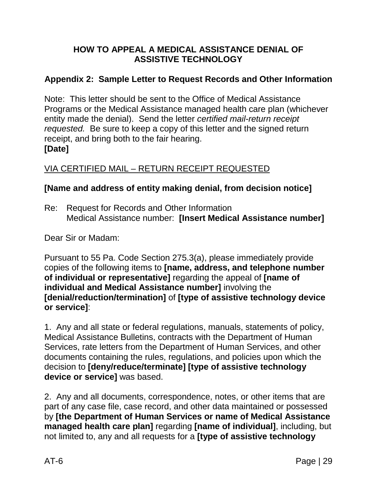### **HOW TO APPEAL A MEDICAL ASSISTANCE DENIAL OF ASSISTIVE TECHNOLOGY**

## **Appendix 2: Sample Letter to Request Records and Other Information**

Note: This letter should be sent to the Office of Medical Assistance Programs or the Medical Assistance managed health care plan (whichever entity made the denial). Send the letter *certified mail-return receipt requested.* Be sure to keep a copy of this letter and the signed return receipt, and bring both to the fair hearing. **[Date]**

### VIA CERTIFIED MAIL – RETURN RECEIPT REQUESTED

### **[Name and address of entity making denial, from decision notice]**

Re: Request for Records and Other Information Medical Assistance number: **[Insert Medical Assistance number]**

Dear Sir or Madam:

Pursuant to 55 Pa. Code Section 275.3(a), please immediately provide copies of the following items to **[name, address, and telephone number of individual or representative]** regarding the appeal of **[name of individual and Medical Assistance number]** involving the **[denial/reduction/termination]** of **[type of assistive technology device or service]**:

1. Any and all state or federal regulations, manuals, statements of policy, Medical Assistance Bulletins, contracts with the Department of Human Services, rate letters from the Department of Human Services, and other documents containing the rules, regulations, and policies upon which the decision to **[deny/reduce/terminate] [type of assistive technology device or service]** was based.

2. Any and all documents, correspondence, notes, or other items that are part of any case file, case record, and other data maintained or possessed by **[the Department of Human Services or name of Medical Assistance managed health care plan]** regarding **[name of individual]**, including, but not limited to, any and all requests for a **[type of assistive technology**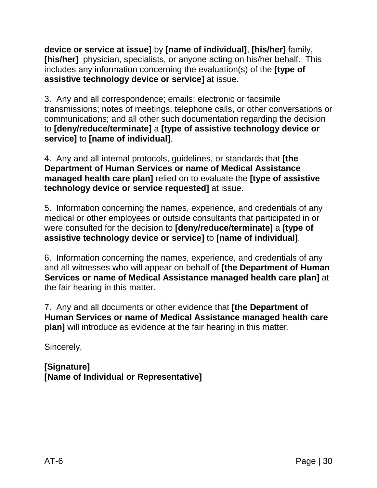**device or service at issue]** by **[name of individual]**, **[his/her]** family, **[his/her]** physician, specialists, or anyone acting on his/her behalf. This includes any information concerning the evaluation(s) of the **[type of assistive technology device or service]** at issue.

3. Any and all correspondence; emails; electronic or facsimile transmissions; notes of meetings, telephone calls, or other conversations or communications; and all other such documentation regarding the decision to **[deny/reduce/terminate]** a **[type of assistive technology device or service]** to **[name of individual]**.

4. Any and all internal protocols, guidelines, or standards that **[the Department of Human Services or name of Medical Assistance managed health care plan]** relied on to evaluate the **[type of assistive technology device or service requested]** at issue.

5. Information concerning the names, experience, and credentials of any medical or other employees or outside consultants that participated in or were consulted for the decision to **[deny/reduce/terminate]** a **[type of assistive technology device or service]** to **[name of individual]**.

6. Information concerning the names, experience, and credentials of any and all witnesses who will appear on behalf of **[the Department of Human Services or name of Medical Assistance managed health care plan]** at the fair hearing in this matter.

7. Any and all documents or other evidence that **[the Department of Human Services or name of Medical Assistance managed health care plan]** will introduce as evidence at the fair hearing in this matter.

Sincerely,

**[Signature] [Name of Individual or Representative]**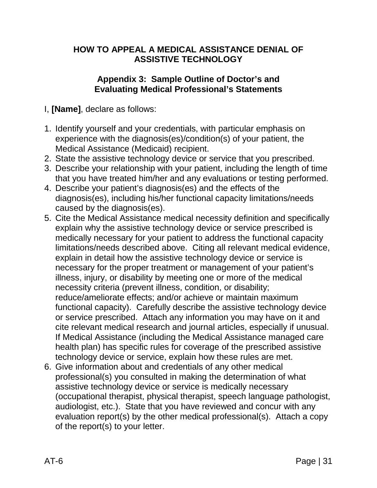### **HOW TO APPEAL A MEDICAL ASSISTANCE DENIAL OF ASSISTIVE TECHNOLOGY**

### **Appendix 3: Sample Outline of Doctor's and Evaluating Medical Professional's Statements**

- I, **[Name]**, declare as follows:
- 1. Identify yourself and your credentials, with particular emphasis on experience with the diagnosis(es)/condition(s) of your patient, the Medical Assistance (Medicaid) recipient.
- 2. State the assistive technology device or service that you prescribed.
- 3. Describe your relationship with your patient, including the length of time that you have treated him/her and any evaluations or testing performed.
- 4. Describe your patient's diagnosis(es) and the effects of the diagnosis(es), including his/her functional capacity limitations/needs caused by the diagnosis(es).
- 5. Cite the Medical Assistance medical necessity definition and specifically explain why the assistive technology device or service prescribed is medically necessary for your patient to address the functional capacity limitations/needs described above. Citing all relevant medical evidence, explain in detail how the assistive technology device or service is necessary for the proper treatment or management of your patient's illness, injury, or disability by meeting one or more of the medical necessity criteria (prevent illness, condition, or disability; reduce/ameliorate effects; and/or achieve or maintain maximum functional capacity). Carefully describe the assistive technology device or service prescribed. Attach any information you may have on it and cite relevant medical research and journal articles, especially if unusual. If Medical Assistance (including the Medical Assistance managed care health plan) has specific rules for coverage of the prescribed assistive technology device or service, explain how these rules are met.
- 6. Give information about and credentials of any other medical professional(s) you consulted in making the determination of what assistive technology device or service is medically necessary (occupational therapist, physical therapist, speech language pathologist, audiologist, etc.). State that you have reviewed and concur with any evaluation report(s) by the other medical professional(s). Attach a copy of the report(s) to your letter.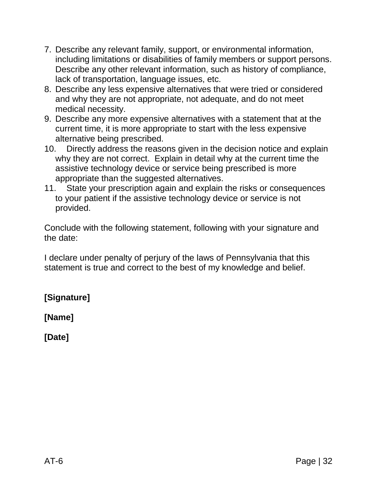- 7. Describe any relevant family, support, or environmental information, including limitations or disabilities of family members or support persons. Describe any other relevant information, such as history of compliance, lack of transportation, language issues, etc.
- 8. Describe any less expensive alternatives that were tried or considered and why they are not appropriate, not adequate, and do not meet medical necessity.
- 9. Describe any more expensive alternatives with a statement that at the current time, it is more appropriate to start with the less expensive alternative being prescribed.
- 10. Directly address the reasons given in the decision notice and explain why they are not correct. Explain in detail why at the current time the assistive technology device or service being prescribed is more appropriate than the suggested alternatives.
- 11. State your prescription again and explain the risks or consequences to your patient if the assistive technology device or service is not provided.

Conclude with the following statement, following with your signature and the date:

I declare under penalty of perjury of the laws of Pennsylvania that this statement is true and correct to the best of my knowledge and belief.

**[Signature]**

**[Name]**

**[Date]**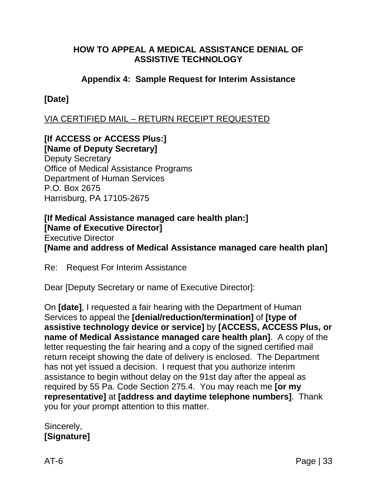### **HOW TO APPEAL A MEDICAL ASSISTANCE DENIAL OF ASSISTIVE TECHNOLOGY**

### **Appendix 4: Sample Request for Interim Assistance**

### **[Date]**

VIA CERTIFIED MAIL – RETURN RECEIPT REQUESTED

#### **[If ACCESS or ACCESS Plus:] [Name of Deputy Secretary]**

Deputy Secretary Office of Medical Assistance Programs Department of Human Services P.O. Box 2675 Harrisburg, PA 17105-2675

#### **[If Medical Assistance managed care health plan:] [Name of Executive Director]** Executive Director **[Name and address of Medical Assistance managed care health plan]**

Re: Request For Interim Assistance

Dear [Deputy Secretary or name of Executive Director]:

On **[date]**, I requested a fair hearing with the Department of Human Services to appeal the **[denial/reduction/termination]** of **[type of assistive technology device or service]** by **[ACCESS, ACCESS Plus, or name of Medical Assistance managed care health plan]**. A copy of the letter requesting the fair hearing and a copy of the signed certified mail return receipt showing the date of delivery is enclosed. The Department has not yet issued a decision. I request that you authorize interim assistance to begin without delay on the 91st day after the appeal as required by 55 Pa. Code Section 275.4. You may reach me **[or my representative]** at **[address and daytime telephone numbers]**. Thank you for your prompt attention to this matter.

#### Sincerely, **[Signature]**